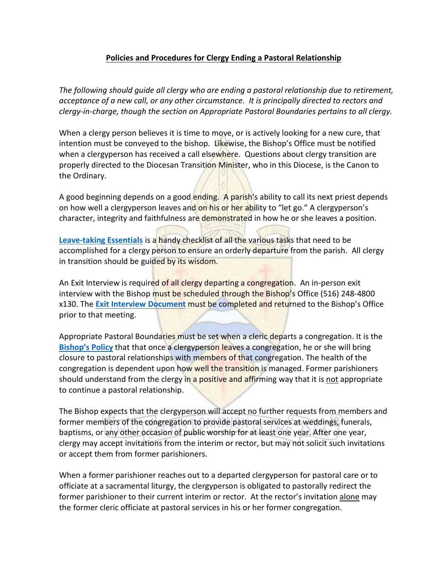## **Policies and Procedures for Clergy Ending a Pastoral Relationship**

*The following should guide all clergy who are ending a pastoral relationship due to retirement, acceptance of a new call, or any other circumstance. It is principally directed to rectors and clergy-in-charge, though the section on Appropriate Pastoral Boundaries pertains to all clergy.* 

When a clergy person believes it is time to move, or is actively looking for a new cure, that intention must be conveyed to the bishop. Likewise, the Bishop's Office must be notified when a clergyperson has received a call elsewhere. Questions about clergy transition are properly directed to the Diocesan Transition Minister, who in this Diocese, is the Canon to the Ordinary.

A good beginning depends on a good ending. A parish's ability to call its next priest depends on how well a clergyperson leaves and on his or her ability to "let go." A clergyperson's character, integrity and faithfulness are demonstrated in how he or she leaves a position.

**[Leave-taking Essentials](http://www.dioceseli.org/files/6714/7379/8283/a---leave-taking-essentials.pdf)** is a handy checklist of all the various tasks that need to be accomplished for a clergy person to ensure an orderly departure from the parish. All clergy in transition should be guided by its wisdom.

An Exit Interview is required of all clergy departing a congregation. An in-person exit interview with the Bishop must be scheduled through the Bishop's Office (516) 248-4800 x130. The **[Exit Interview Document](http://www.dioceseli.org/files/5814/7378/9180/b---exit-interview.pdf)** must be completed and returned to the Bishop's Office prior to that meeting.

Appropriate Pastoral Boundaries must be set when a cleric departs a congregation. It is the **[Bishop's Policy](http://www.dioceseli.org/files/9614/7378/9237/c---bishop-s-policy.pdf)** that that once a clergyperson leaves a congregation, he or she will bring closure to pastoral relationships with members of that congregation. The health of the congregation is dependent upon how well the transition is managed. Former parishioners should understand from the clergy in a positive and affirming way that it is not appropriate to continue a pastoral relationship.

The Bishop expects that the clergyperson will accept no further requests from members and former members of the congregation to provide pastoral services at weddings, funerals, baptisms, or any other occasion of public worship for at least one year. After one year, clergy may accept invitations from the interim or rector, but may not solicit such invitations or accept them from former parishioners.

When a former parishioner reaches out to a departed clergyperson for pastoral care or to officiate at a sacramental liturgy, the clergyperson is obligated to pastorally redirect the former parishioner to their current interim or rector. At the rector's invitation alone may the former cleric officiate at pastoral services in his or her former congregation.